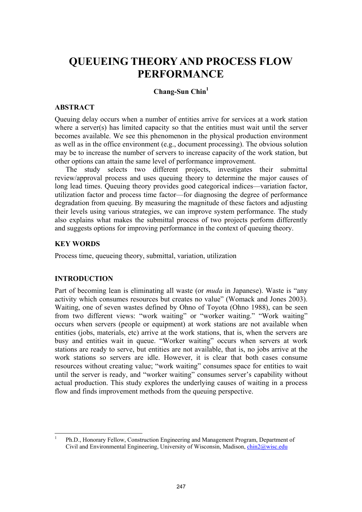# **QUEUEING THEORY AND PROCESS FLOW PERFORMANCE**

## **Chang-Sun Chin1**

### **ABSTRACT**

Queuing delay occurs when a number of entities arrive for services at a work station where a server(s) has limited capacity so that the entities must wait until the server becomes available. We see this phenomenon in the physical production environment as well as in the office environment (e.g., document processing). The obvious solution may be to increase the number of servers to increase capacity of the work station, but other options can attain the same level of performance improvement.

The study selects two different projects, investigates their submittal review/approval process and uses queuing theory to determine the major causes of long lead times. Queuing theory provides good categorical indices—variation factor, utilization factor and process time factor—for diagnosing the degree of performance degradation from queuing. By measuring the magnitude of these factors and adjusting their levels using various strategies, we can improve system performance. The study also explains what makes the submittal process of two projects perform differently and suggests options for improving performance in the context of queuing theory.

#### **KEY WORDS**

Process time, queueing theory, submittal, variation, utilization

#### **INTRODUCTION**

Part of becoming lean is eliminating all waste (or *muda* in Japanese). Waste is "any activity which consumes resources but creates no value" (Womack and Jones 2003). Waiting, one of seven wastes defined by Ohno of Toyota (Ohno 1988), can be seen from two different views: "work waiting" or "worker waiting." "Work waiting" occurs when servers (people or equipment) at work stations are not available when entities (jobs, materials, etc) arrive at the work stations, that is, when the servers are busy and entities wait in queue. "Worker waiting" occurs when servers at work stations are ready to serve, but entities are not available, that is, no jobs arrive at the work stations so servers are idle. However, it is clear that both cases consume resources without creating value; "work waiting" consumes space for entities to wait until the server is ready, and "worker waiting" consumes server's capability without actual production. This study explores the underlying causes of waiting in a process flow and finds improvement methods from the queuing perspective.

 $\frac{1}{1}$  Ph.D., Honorary Fellow, Construction Engineering and Management Program, Department of Civil and Environmental Engineering, University of Wisconsin, Madison, chin2@wisc.edu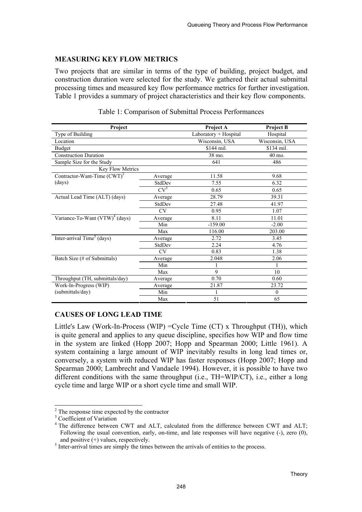## **MEASURING KEY FLOW METRICS**

Two projects that are similar in terms of the type of building, project budget, and construction duration were selected for the study. We gathered their actual submittal processing times and measured key flow performance metrics for further investigation. Table 1 provides a summary of project characteristics and their key flow components.

| <b>Project</b>                    |           | Project A             | <b>Project B</b>  |  |  |
|-----------------------------------|-----------|-----------------------|-------------------|--|--|
| Type of Building                  |           | Laboratory + Hospital | Hospital          |  |  |
| Location                          |           | Wisconsin, USA        | Wisconsin, USA    |  |  |
| <b>Budget</b>                     |           | \$144 mil.            | \$134 mil.        |  |  |
| <b>Construction Duration</b>      |           | 38 mo.                | $40 \text{ mo}$ . |  |  |
| Sample Size for the Study         |           | 641                   | 486               |  |  |
| Key Flow Metrics                  |           |                       |                   |  |  |
| Contractor-Want-Time $(CWT)^2$    | Average   | 11.58                 | 9.68              |  |  |
| (days)                            | StdDev    | 7.55                  | 6.32              |  |  |
|                                   | $CV^3$    | 0.65                  | 0.65              |  |  |
| Actual Lead Time (ALT) (days)     | Average   | 28.79                 | 39.31             |  |  |
|                                   | StdDev    | 27.48                 | 41.97             |  |  |
|                                   | <b>CV</b> | 0.95                  | 1.07              |  |  |
| Variance-To-Want $(VTW)^4$ (days) | Average   | 8.11                  | 11.01             |  |  |
|                                   | Min       | $-159.00$             | $-2.00$           |  |  |
|                                   | Max       | 116.00                | 203.00            |  |  |
| Inter-arrival $Time5$ (days)      | Average   | 2.72                  | 3.45              |  |  |
|                                   | StdDev    | 2.24                  | 4.76              |  |  |
|                                   | <b>CV</b> | 0.83                  | 1.38              |  |  |
| Batch Size (# of Submittals)      | Average   | 2.048                 | 2.06              |  |  |
|                                   | Min       |                       |                   |  |  |
|                                   | Max       | 9                     | 10                |  |  |
| Throughput (TH, submittals/day)   | Average   | 0.70                  | 0.60              |  |  |
| Work-In-Progress (WIP)            | Average   | 21.87                 | 23.72             |  |  |
| (submittals/day)                  | Min       |                       | $\theta$          |  |  |
|                                   | Max       | 51                    | 65                |  |  |

Table 1: Comparison of Submittal Process Performances

# **CAUSES OF LONG LEAD TIME**

Little's Law (Work-In-Process (WIP) =Cycle Time (CT) x Throughput (TH)), which is quite general and applies to any queue discipline, specifies how WIP and flow time in the system are linked (Hopp 2007; Hopp and Spearman 2000; Little 1961). A system containing a large amount of WIP inevitably results in long lead times or, conversely, a system with reduced WIP has faster responses (Hopp 2007; Hopp and Spearman 2000; Lambrecht and Vandaele 1994). However, it is possible to have two different conditions with the same throughput (i.e., TH=WIP/CT), i.e., either a long cycle time and large WIP or a short cycle time and small WIP.

 $\overline{\phantom{a}}$ 

 $^{2}$  The response time expected by the contractor  $^{3}$  Coefficient of Merician

<sup>&</sup>lt;sup>3</sup> Coefficient of Variation

<sup>&</sup>lt;sup>4</sup> The difference between CWT and ALT, calculated from the difference between CWT and ALT; Following the usual convention, early, on-time, and late responses will have negative (-), zero (0), and positive  $(+)$  values, respectively.

 $\frac{1}{5}$  Inter-arrival times are simply the times between the arrivals of entities to the process.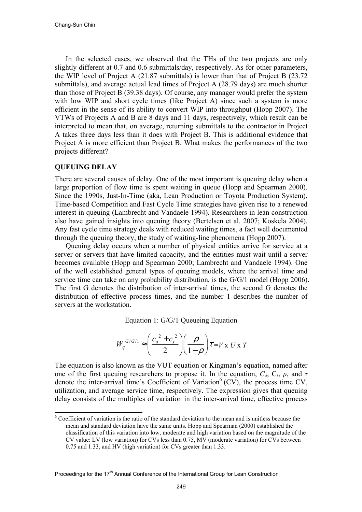In the selected cases, we observed that the THs of the two projects are only slightly different at 0.7 and 0.6 submittals/day, respectively. As for other parameters, the WIP level of Project A (21.87 submittals) is lower than that of Project B (23.72 submittals), and average actual lead times of Project A (28.79 days) are much shorter than those of Project B (39.38 days). Of course, any manager would prefer the system with low WIP and short cycle times (like Project A) since such a system is more efficient in the sense of its ability to convert WIP into throughput (Hopp 2007). The VTWs of Projects A and B are 8 days and 11 days, respectively, which result can be interpreted to mean that, on average, returning submittals to the contractor in Project A takes three days less than it does with Project B. This is additional evidence that Project A is more efficient than Project B. What makes the performances of the two projects different?

#### **QUEUING DELAY**

 $\overline{\phantom{a}}$ 

There are several causes of delay. One of the most important is queuing delay when a large proportion of flow time is spent waiting in queue (Hopp and Spearman 2000). Since the 1990s, Just-In-Time (aka, Lean Production or Toyota Production System), Time-based Competition and Fast Cycle Time strategies have given rise to a renewed interest in queuing (Lambrecht and Vandaele 1994). Researchers in lean construction also have gained insights into queuing theory (Bertelsen et al. 2007; Koskela 2004). Any fast cycle time strategy deals with reduced waiting times, a fact well documented through the queuing theory, the study of waiting-line phenomena (Hopp 2007).

Queuing delay occurs when a number of physical entities arrive for service at a server or servers that have limited capacity, and the entities must wait until a server becomes available (Hopp and Spearman 2000; Lambrecht and Vandaele 1994). One of the well established general types of queuing models, where the arrival time and service time can take on any probability distribution, is the G/G/1 model (Hopp 2006). The first G denotes the distribution of inter-arrival times, the second G denotes the distribution of effective process times, and the number 1 describes the number of servers at the workstation.

Equation 1: G/G/1 Queueing Equation

$$
W_q^{G/G/1} \approx \left(\frac{c_a^2 + c_s^2}{2}\right) \left(\frac{\rho}{1-\rho}\right) \tau = V \times U \times T
$$

The equation is also known as the VUT equation or Kingman's equation, named after one of the first queuing researchers to propose it. In the equation,  $C_a$ ,  $C_s$ ,  $\rho$ , and  $\tau$ denote the inter-arrival time's Coefficient of Variation<sup>6</sup> (CV), the process time CV, utilization, and average service time, respectively. The expression gives that queuing delay consists of the multiples of variation in the inter-arrival time, effective process

<sup>&</sup>lt;sup>6</sup> Coefficient of variation is the ratio of the standard deviation to the mean and is unitless because the mean and standard deviation have the same units. Hopp and Spearman (2000) established the classification of this variation into low, moderate and high variation based on the magnitude of the CV value: LV (low variation) for CVs less than 0.75, MV (moderate variation) for CVs between 0.75 and 1.33, and HV (high variation) for CVs greater than 1.33.

Proceedings for the 17<sup>th</sup> Annual Conference of the International Group for Lean Construction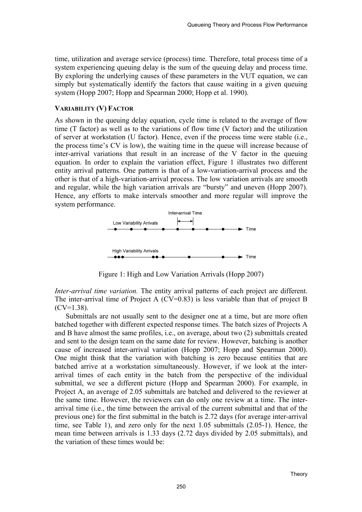time, utilization and average service (process) time. Therefore, total process time of a system experiencing queuing delay is the sum of the queuing delay and process time. By exploring the underlying causes of these parameters in the VUT equation, we can simply but systematically identify the factors that cause waiting in a given queuing system (Hopp 2007; Hopp and Spearman 2000; Hopp et al. 1990).

#### **VARIABILITY (V) FACTOR**

As shown in the queuing delay equation, cycle time is related to the average of flow time (T factor) as well as to the variations of flow time (V factor) and the utilization of server at workstation (U factor). Hence, even if the process time were stable (i.e., the process time's CV is low), the waiting time in the queue will increase because of inter-arrival variations that result in an increase of the V factor in the queuing equation. In order to explain the variation effect, Figure 1 illustrates two different entity arrival patterns. One pattern is that of a low-variation-arrival process and the other is that of a high-variation-arrival process. The low variation arrivals are smooth and regular, while the high variation arrivals are "bursty" and uneven (Hopp 2007). Hence, any efforts to make intervals smoother and more regular will improve the system performance.



Figure 1: High and Low Variation Arrivals (Hopp 2007)

*Inter-arrival time variation.* The entity arrival patterns of each project are different. The inter-arrival time of Project A  $(CV=0.83)$  is less variable than that of project B  $(CV=1.38)$ .

Submittals are not usually sent to the designer one at a time, but are more often batched together with different expected response times. The batch sizes of Projects A and B have almost the same profiles, i.e., on average, about two (2) submittals created and sent to the design team on the same date for review. However, batching is another cause of increased inter-arrival variation (Hopp 2007; Hopp and Spearman 2000). One might think that the variation with batching is zero because entities that are batched arrive at a workstation simultaneously. However, if we look at the interarrival times of each entity in the batch from the perspective of the individual submittal, we see a different picture (Hopp and Spearman 2000). For example, in Project A, an average of 2.05 submittals are batched and delivered to the reviewer at the same time. However, the reviewers can do only one review at a time. The interarrival time (i.e., the time between the arrival of the current submittal and that of the previous one) for the first submittal in the batch is 2.72 days (for average inter-arrival time, see Table 1), and zero only for the next 1.05 submittals (2.05-1). Hence, the mean time between arrivals is 1.33 days (2.72 days divided by 2.05 submittals), and the variation of these times would be: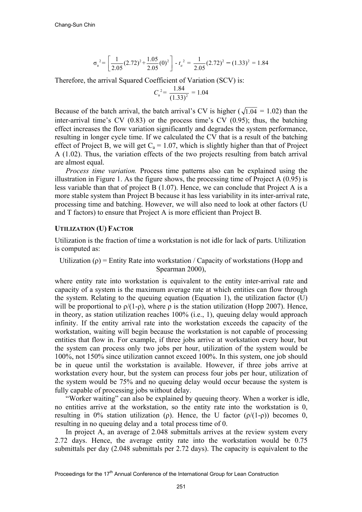$$
\sigma_a^2 = \left[ \frac{1}{2.05} (2.72)^2 + \frac{1.05}{2.05} (0)^2 \right] - t_a^2 = \frac{1}{2.05} (2.72)^2 - (1.33)^2 = 1.84
$$

Therefore, the arrival Squared Coefficient of Variation (SCV) is:

$$
C_{\rm a}^2 = \frac{1.84}{(1.33)^2} = 1.04
$$

Because of the batch arrival, the batch arrival's CV is higher ( $\sqrt{1.04}$  = 1.02) than the inter-arrival time's CV (0.83) or the process time's CV (0.95); thus, the batching effect increases the flow variation significantly and degrades the system performance, resulting in longer cycle time. If we calculated the CV that is a result of the batching effect of Project B, we will get  $C_a = 1.07$ , which is slightly higher than that of Project A (1.02). Thus, the variation effects of the two projects resulting from batch arrival are almost equal.

*Process time variation.* Process time patterns also can be explained using the illustration in Figure 1. As the figure shows, the processing time of Project A  $(0.95)$  is less variable than that of project B (1.07). Hence, we can conclude that Project A is a more stable system than Project B because it has less variability in its inter-arrival rate, processing time and batching. However, we will also need to look at other factors (U and T factors) to ensure that Project A is more efficient than Project B.

#### **UTILIZATION (U) FACTOR**

Utilization is the fraction of time a workstation is not idle for lack of parts. Utilization is computed as:

Utilization ( $\rho$ ) = Entity Rate into workstation / Capacity of workstations (Hopp and Spearman 2000),

where entity rate into workstation is equivalent to the entity inter-arrival rate and capacity of a system is the maximum average rate at which entities can flow through the system. Relating to the queuing equation (Equation 1), the utilization factor (U) will be proportional to  $\rho/(1-\rho)$ , where  $\rho$  is the station utilization (Hopp 2007). Hence, in theory, as station utilization reaches 100% (i.e., 1), queuing delay would approach infinity. If the entity arrival rate into the workstation exceeds the capacity of the workstation, waiting will begin because the workstation is not capable of processing entities that flow in. For example, if three jobs arrive at workstation every hour, but the system can process only two jobs per hour, utilization of the system would be 100%, not 150% since utilization cannot exceed 100%. In this system, one job should be in queue until the workstation is available. However, if three jobs arrive at workstation every hour, but the system can process four jobs per hour, utilization of the system would be 75% and no queuing delay would occur because the system is fully capable of processing jobs without delay.

"Worker waiting" can also be explained by queuing theory. When a worker is idle, no entities arrive at the workstation, so the entity rate into the workstation is 0, resulting in 0% station utilization (ρ). Hence, the U factor  $(ρ/(1-ρ))$  becomes 0, resulting in no queuing delay and a total process time of 0.

In project A, an average of 2.048 submittals arrives at the review system every 2.72 days. Hence, the average entity rate into the workstation would be 0.75 submittals per day (2.048 submittals per 2.72 days). The capacity is equivalent to the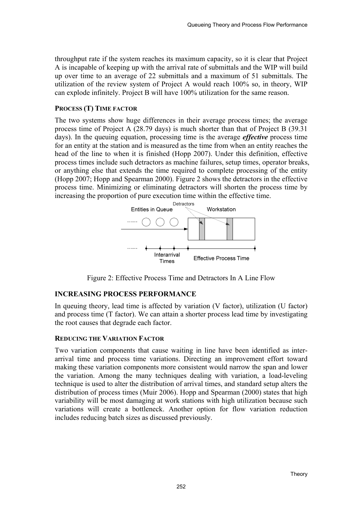throughput rate if the system reaches its maximum capacity, so it is clear that Project A is incapable of keeping up with the arrival rate of submittals and the WIP will build up over time to an average of 22 submittals and a maximum of 51 submittals. The utilization of the review system of Project A would reach 100% so, in theory, WIP can explode infinitely. Project B will have 100% utilization for the same reason.

## **PROCESS (T) TIME FACTOR**

The two systems show huge differences in their average process times; the average process time of Project A (28.79 days) is much shorter than that of Project B (39.31 days). In the queuing equation, processing time is the average *effective* process time for an entity at the station and is measured as the time from when an entity reaches the head of the line to when it is finished (Hopp 2007). Under this definition, effective process times include such detractors as machine failures, setup times, operator breaks, or anything else that extends the time required to complete processing of the entity (Hopp 2007; Hopp and Spearman 2000). Figure 2 shows the detractors in the effective process time. Minimizing or eliminating detractors will shorten the process time by increasing the proportion of pure execution time within the effective time.



Figure 2: Effective Process Time and Detractors In A Line Flow

# **INCREASING PROCESS PERFORMANCE**

In queuing theory, lead time is affected by variation (V factor), utilization (U factor) and process time (T factor). We can attain a shorter process lead time by investigating the root causes that degrade each factor.

## **REDUCING THE VARIATION FACTOR**

Two variation components that cause waiting in line have been identified as interarrival time and process time variations. Directing an improvement effort toward making these variation components more consistent would narrow the span and lower the variation. Among the many techniques dealing with variation, a load-leveling technique is used to alter the distribution of arrival times, and standard setup alters the distribution of process times (Muir 2006). Hopp and Spearman (2000) states that high variability will be most damaging at work stations with high utilization because such variations will create a bottleneck. Another option for flow variation reduction includes reducing batch sizes as discussed previously.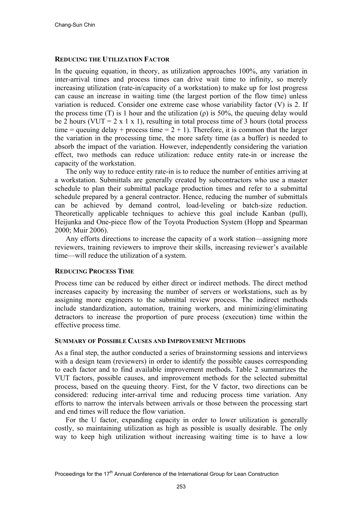#### **REDUCING THE UTILIZATION FACTOR**

In the queuing equation, in theory, as utilization approaches 100%, any variation in inter-arrival times and process times can drive wait time to infinity, so merely increasing utilization (rate-in/capacity of a workstation) to make up for lost progress can cause an increase in waiting time (the largest portion of the flow time) unless variation is reduced. Consider one extreme case whose variability factor (V) is 2. If the process time (T) is 1 hour and the utilization ( $\rho$ ) is 50%, the queuing delay would be 2 hours (VUT =  $2 \times 1 \times 1$ ), resulting in total process time of 3 hours (total process time = queuing delay + process time =  $2 + 1$ ). Therefore, it is common that the larger the variation in the processing time, the more safety time (as a buffer) is needed to absorb the impact of the variation. However, independently considering the variation effect, two methods can reduce utilization: reduce entity rate-in or increase the capacity of the workstation.

The only way to reduce entity rate-in is to reduce the number of entities arriving at a workstation. Submittals are generally created by subcontractors who use a master schedule to plan their submittal package production times and refer to a submittal schedule prepared by a general contractor. Hence, reducing the number of submittals can be achieved by demand control, load-leveling or batch-size reduction. Theoretically applicable techniques to achieve this goal include Kanban (pull), Heijunka and One-piece flow of the Toyota Production System (Hopp and Spearman 2000; Muir 2006).

Any efforts directions to increase the capacity of a work station—assigning more reviewers, training reviewers to improve their skills, increasing reviewer's available time—will reduce the utilization of a system.

## **REDUCING PROCESS TIME**

Process time can be reduced by either direct or indirect methods. The direct method increases capacity by increasing the number of servers or workstations, such as by assigning more engineers to the submittal review process. The indirect methods include standardization, automation, training workers, and minimizing/eliminating detractors to increase the proportion of pure process (execution) time within the effective process time.

#### **SUMMARY OF POSSIBLE CAUSES AND IMPROVEMENT METHODS**

As a final step, the author conducted a series of brainstorming sessions and interviews with a design team (reviewers) in order to identify the possible causes corresponding to each factor and to find available improvement methods. Table 2 summarizes the VUT factors, possible causes, and improvement methods for the selected submittal process, based on the queuing theory. First, for the V factor, two directions can be considered: reducing inter-arrival time and reducing process time variation. Any efforts to narrow the intervals between arrivals or those between the processing start and end times will reduce the flow variation.

For the U factor, expanding capacity in order to lower utilization is generally costly, so maintaining utilization as high as possible is usually desirable. The only way to keep high utilization without increasing waiting time is to have a low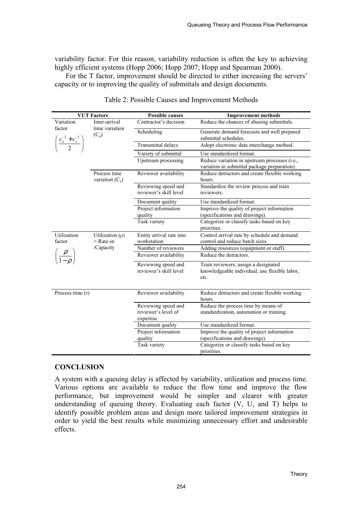variability factor. For this reason, variability reduction is often the key to achieving highly efficient systems (Hopp 2006; Hopp 2007; Hopp and Spearman 2000).

For the T factor, improvement should be directed to either increasing the servers' capacity or to improving the quality of submittals and design documents.

|                                                                             | <b>VUT Factors</b>                            | <b>Possible causes</b>                                                                        | <b>Improvement methods</b>                                                      |
|-----------------------------------------------------------------------------|-----------------------------------------------|-----------------------------------------------------------------------------------------------|---------------------------------------------------------------------------------|
| Variation                                                                   | Inter-arrival                                 | Contractor's decision                                                                         | Reduce the chances of abusing submittals.                                       |
| factor<br>time variation<br>$(C_a)$<br>$\left(\frac{c_a^2+c_s^2}{2}\right)$ | Scheduling                                    | Generate demand forecasts and well prepared<br>submittal schedules.                           |                                                                                 |
|                                                                             |                                               | Transmittal delays                                                                            | Adopt electronic data interchange method.                                       |
|                                                                             |                                               | Variety of submittal                                                                          | Use standardized format.                                                        |
|                                                                             | Upstream processing                           | Reduce variation in upstream processes (i.e.,<br>variation in submittal package preparation). |                                                                                 |
| Process time<br>variation $(C_s)$                                           | Reviewer availability                         | Reduce detractors and create flexible working<br>hours.                                       |                                                                                 |
|                                                                             | Reviewing speed and<br>reviewer's skill level | Standardize the review process and train<br>reviewers.                                        |                                                                                 |
|                                                                             | Document quality                              | Use standardized format.                                                                      |                                                                                 |
|                                                                             | Project information<br>quality                | Improve the quality of project information<br>(specifications and drawings).                  |                                                                                 |
|                                                                             | Task variety                                  | Categorize or classify tasks based on key<br>priorities.                                      |                                                                                 |
| Utilization<br>Utilization $(\rho)$<br>factor<br>$=$ Rate-in                | Entity arrival rate into<br>workstation       | Control arrival rate by schedule and demand<br>control and reduce batch sizes.                |                                                                                 |
| /Capacity                                                                   | Number of reviewers                           | Adding resources (equipment or staff).                                                        |                                                                                 |
|                                                                             |                                               | Reviewer availability                                                                         | Reduce the detractors.                                                          |
|                                                                             | Reviewing speed and<br>reviewer's skill level | Train reviewers, assign a designated<br>knowledgeable individual, use flexible labor,<br>etc. |                                                                                 |
| Process time $(\tau)$                                                       |                                               | Reviewer availability                                                                         | Reduce detractors and create flexible working<br>hours.                         |
|                                                                             |                                               | Reviewing speed and<br>reviewer's level of<br>expertise                                       | Reduce the process time by means of<br>standardization, automation or training. |
|                                                                             |                                               | Document quality                                                                              | Use standardized format.                                                        |
|                                                                             |                                               | Project information<br>quality                                                                | Improve the quality of project information<br>(specifications and drawings).    |
|                                                                             |                                               | Task variety                                                                                  | Categorize or classify tasks based on key<br>priorities.                        |

Table 2: Possible Causes and Improvement Methods

# **CONCLUSION**

A system with a queuing delay is affected by variability, utilization and process time. Various options are available to reduce the flow time and improve the flow performance, but improvement would be simpler and clearer with greater understanding of queuing theory. Evaluating each factor (V, U, and T) helps to identify possible problem areas and design more tailored improvement strategies in order to yield the best results while minimizing unnecessary effort and undesirable effects.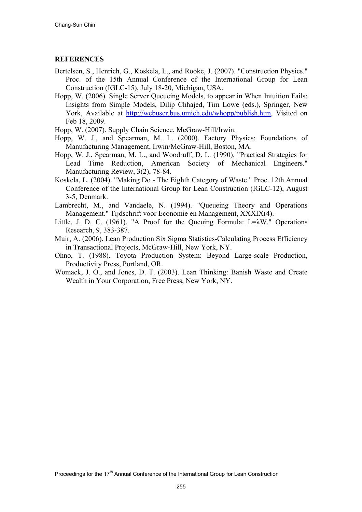#### **REFERENCES**

- Bertelsen, S., Henrich, G., Koskela, L., and Rooke, J. (2007). "Construction Physics." Proc. of the 15th Annual Conference of the International Group for Lean Construction (IGLC-15), July 18-20, Michigan, USA.
- Hopp, W. (2006). Single Server Queueing Models, to appear in When Intuition Fails: Insights from Simple Models, Dilip Chhajed, Tim Lowe (eds.), Springer, New York, Available at http://webuser.bus.umich.edu/whopp/publish.htm, Visited on Feb 18, 2009.
- Hopp, W. (2007). Supply Chain Science, McGraw-Hill/Irwin.
- Hopp, W. J., and Spearman, M. L. (2000). Factory Physics: Foundations of Manufacturing Management, Irwin/McGraw-Hill, Boston, MA.
- Hopp, W. J., Spearman, M. L., and Woodruff, D. L. (1990). "Practical Strategies for Lead Time Reduction, American Society of Mechanical Engineers." Manufacturing Review, 3(2), 78-84.
- Koskela, L. (2004). "Making Do The Eighth Category of Waste " Proc. 12th Annual Conference of the International Group for Lean Construction (IGLC-12), August 3-5, Denmark.
- Lambrecht, M., and Vandaele, N. (1994). "Queueing Theory and Operations Management." Tijdschrift voor Economie en Management, XXXIX(4).
- Little, J. D. C. (1961). "A Proof for the Queuing Formula: L=λW." Operations Research, 9, 383-387.
- Muir, A. (2006). Lean Production Six Sigma Statistics-Calculating Process Efficiency in Transactional Projects, McGraw-Hill, New York, NY.
- Ohno, T. (1988). Toyota Production System: Beyond Large-scale Production, Productivity Press, Portland, OR.
- Womack, J. O., and Jones, D. T. (2003). Lean Thinking: Banish Waste and Create Wealth in Your Corporation, Free Press, New York, NY.